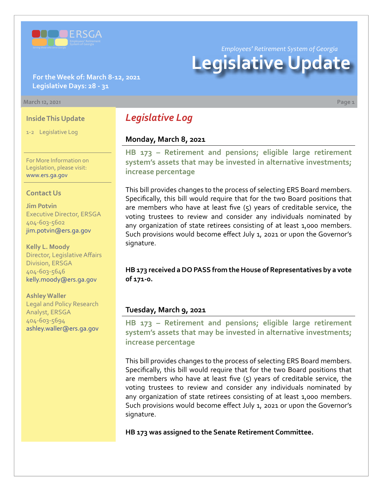

**For the Week of: March 8-12, 2021 Legislative Days: 28 - 31**

#### **March 12, 2021 Page 1**

### **Inside This Update**

1-2 Legislative Log

For More Information on Legislation, please visit: [www.ers.ga.gov](http://www.ers.ga.gov/default.aspx)

#### **Contact Us**

**Jim Potvin** Executive Director, ERSGA 404-603-5602 jim.potvin@ers.ga.gov

**Kelly L. Moody** Director, Legislative Affairs Division, ERSGA 404-603-5646 kelly.moody@ers.ga.gov

**Ashley Waller** Legal and Policy Research Analyst, ERSGA 404-603-5694 ashley.waller@ers.ga.gov

*Legislative Log*

# **Monday, March 8, 2021**

**[HB 173](https://www.legis.ga.gov/legislation/59095) – [Retirement and pensions; eligible large retirement](https://www.legis.ga.gov/legislation/59095)  system's assets that may be invested in alternative investments; increase percentage**

This bill provides changes to the process of selecting ERS Board members. Specifically, this bill would require that for the two Board positions that are members who have at least five (5) years of creditable service, the voting trustees to review and consider any individuals nominated by any organization of state retirees consisting of at least 1,000 members. Such provisions would become effect July 1, 2021 or upon the Governor's signature.

**HB 173 received a DO PASS from the House of Representatives by a vote of 171-0.**

## **Tuesday, March 9, 2021**

**[HB 173](https://www.legis.ga.gov/legislation/59095) [–](http://www.legis.ga.gov/legislation/en-US/Display/20192020/HB/67) [Retirement and pensions; eligible large retirement](https://www.legis.ga.gov/legislation/59095)  system's assets that may be invested in alternative investments; increase percentage**

This bill provides changes to the process of selecting ERS Board members. Specifically, this bill would require that for the two Board positions that are members who have at least five (5) years of creditable service, the voting trustees to review and consider any individuals nominated by any organization of state retirees consisting of at least 1,000 members. Such provisions would become effect July 1, 2021 or upon the Governor's signature.

**HB 173 was assigned to the Senate Retirement Committee.**

*Employees' Retirement System of Georgia*

**Legislative Update**